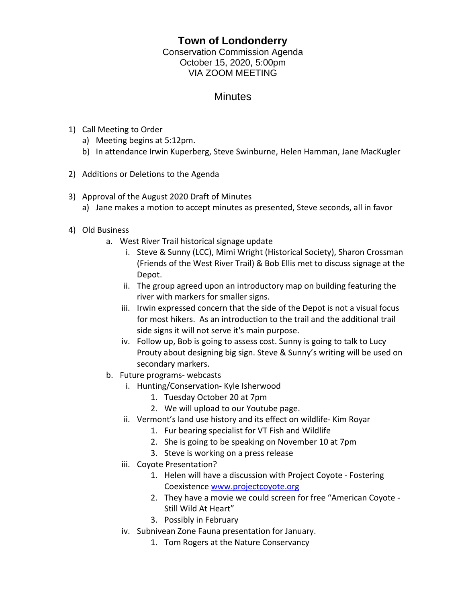## **Town of Londonderry**

Conservation Commission Agenda October 15, 2020, 5:00pm VIA ZOOM MEETING

## **Minutes**

- 1) Call Meeting to Order
	- a) Meeting begins at 5:12pm.
	- b) In attendance Irwin Kuperberg, Steve Swinburne, Helen Hamman, Jane MacKugler
- 2) Additions or Deletions to the Agenda
- 3) Approval of the August 2020 Draft of Minutes
	- a) Jane makes a motion to accept minutes as presented, Steve seconds, all in favor
- 4) Old Business
	- a. West River Trail historical signage update
		- i. Steve & Sunny (LCC), Mimi Wright (Historical Society), Sharon Crossman (Friends of the West River Trail) & Bob Ellis met to discuss signage at the Depot.
		- ii. The group agreed upon an introductory map on building featuring the river with markers for smaller signs.
		- iii. Irwin expressed concern that the side of the Depot is not a visual focus for most hikers. As an introduction to the trail and the additional trail side signs it will not serve it's main purpose.
		- iv. Follow up, Bob is going to assess cost. Sunny is going to talk to Lucy Prouty about designing big sign. Steve & Sunny's writing will be used on secondary markers.
	- b. Future programs- webcasts
		- i. Hunting/Conservation- Kyle Isherwood
			- 1. Tuesday October 20 at 7pm
			- 2. We will upload to our Youtube page.
		- ii. Vermont's land use history and its effect on wildlife- Kim Royar
			- 1. Fur bearing specialist for VT Fish and Wildlife
			- 2. She is going to be speaking on November 10 at 7pm
			- 3. Steve is working on a press release
		- iii. Coyote Presentation?
			- 1. Helen will have a discussion with Project Coyote Fostering Coexistence [www.projectcoyote.org](http://www.projectcoyote.org/)
			- 2. They have a movie we could screen for free "American Coyote Still Wild At Heart"
			- 3. Possibly in February
		- iv. Subnivean Zone Fauna presentation for January.
			- 1. Tom Rogers at the Nature Conservancy